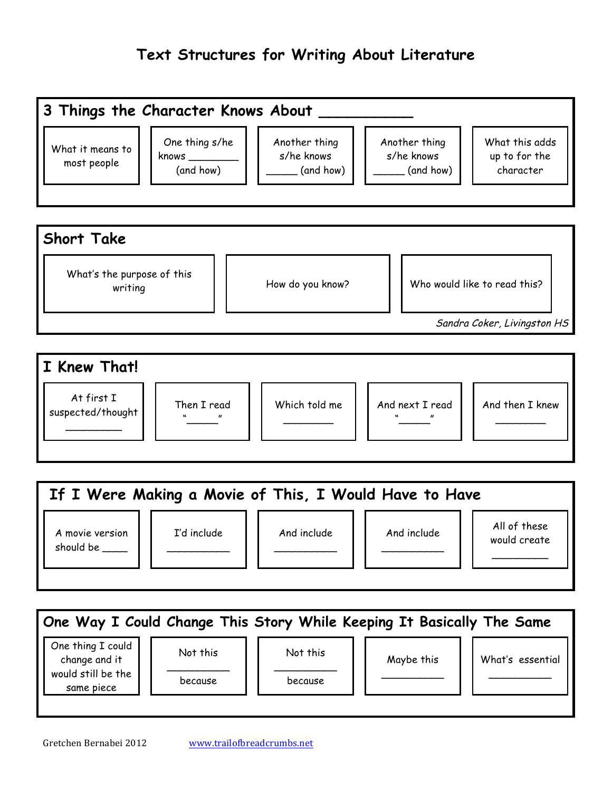## **Text Structures for Writing About Literature**





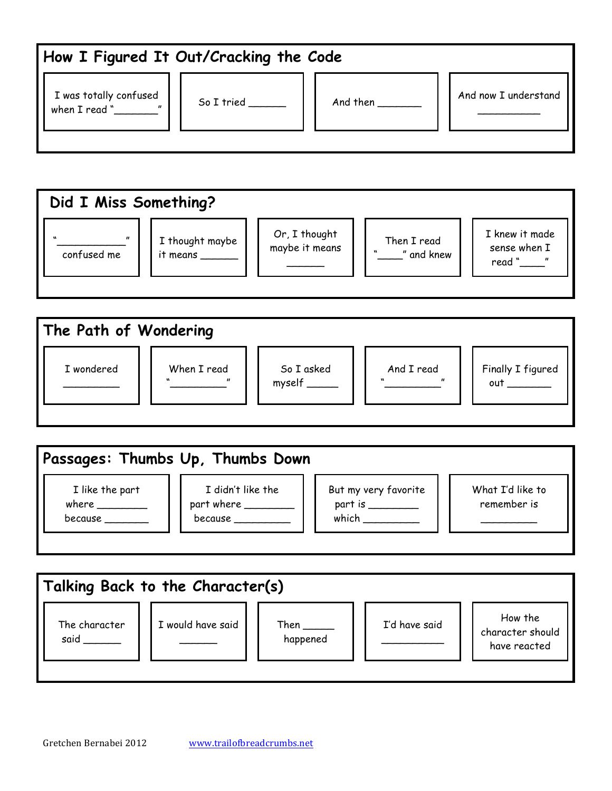| How I Figured It Out/Cracking the Code          |                   |                                                                              |                      |
|-------------------------------------------------|-------------------|------------------------------------------------------------------------------|----------------------|
| I was totally confused<br>when $I$ read $"$ $"$ | So I tried $\_\_$ | And then $\frac{1}{\sqrt{1-\frac{1}{2}}\cdot\frac{1}{\sqrt{1-\frac{1}{2}}}}$ | And now I understand |
|                                                 |                   |                                                                              |                      |





|                                     | Passages: Thumbs Up, Thumbs Down                   |                                                               |                                 |
|-------------------------------------|----------------------------------------------------|---------------------------------------------------------------|---------------------------------|
| I like the part<br>where<br>because | I didn't like the<br>part where _______<br>because | But my very favorite<br>part is $\rule{1em}{0.15mm}$<br>which | What I'd like to<br>remember is |
|                                     |                                                    |                                                               |                                 |